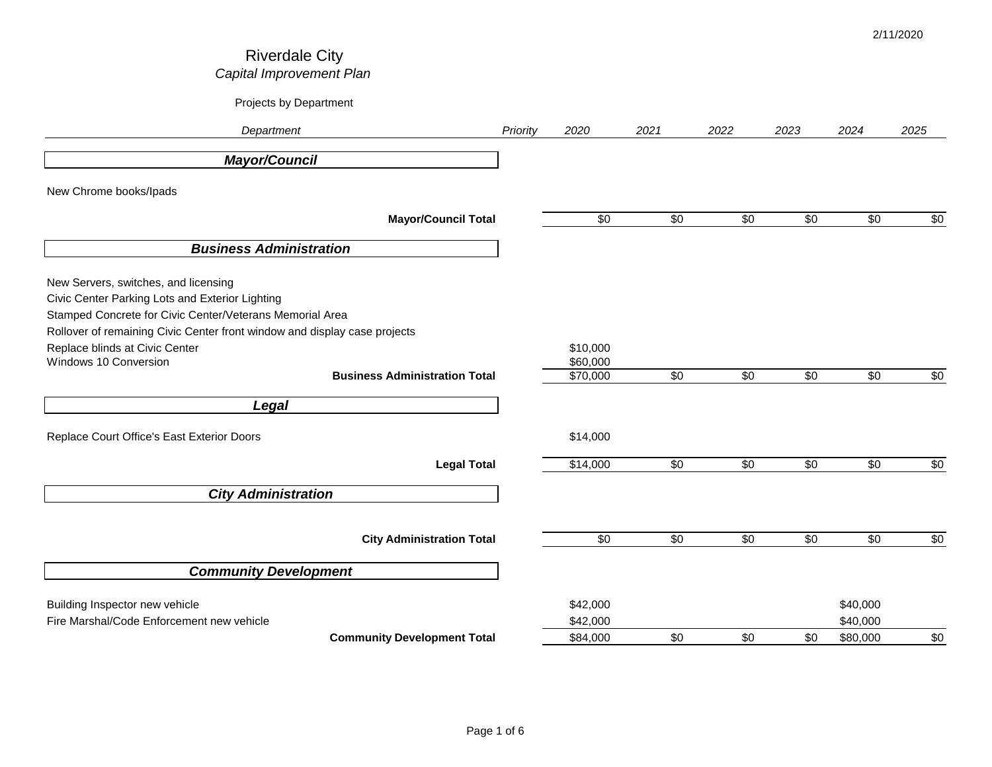| Department                                                                                                                                                                                                                       | Priority | 2020                                     | 2021        | 2022            | 2023            | 2024                 | 2025       |
|----------------------------------------------------------------------------------------------------------------------------------------------------------------------------------------------------------------------------------|----------|------------------------------------------|-------------|-----------------|-----------------|----------------------|------------|
| <b>Mayor/Council</b>                                                                                                                                                                                                             |          |                                          |             |                 |                 |                      |            |
| New Chrome books/Ipads                                                                                                                                                                                                           |          |                                          |             |                 |                 |                      |            |
| <b>Mayor/Council Total</b>                                                                                                                                                                                                       |          | $\sqrt{6}$                               | $\sqrt{50}$ | $\sqrt{50}$     | $\sqrt{50}$     | $\sqrt{50}$          | $\sqrt{6}$ |
| <b>Business Administration</b>                                                                                                                                                                                                   |          |                                          |             |                 |                 |                      |            |
| New Servers, switches, and licensing<br>Civic Center Parking Lots and Exterior Lighting<br>Stamped Concrete for Civic Center/Veterans Memorial Area<br>Rollover of remaining Civic Center front window and display case projects |          |                                          |             |                 |                 |                      |            |
| Replace blinds at Civic Center<br>Windows 10 Conversion<br><b>Business Administration Total</b>                                                                                                                                  |          | \$10,000<br>\$60,000<br>$\sqrt{$70,000}$ | $\sqrt{6}$  | $\sqrt{60}$     | $\sqrt{60}$     | $\sqrt{60}$          | $\sqrt{6}$ |
| Legal                                                                                                                                                                                                                            |          |                                          |             |                 |                 |                      |            |
| Replace Court Office's East Exterior Doors                                                                                                                                                                                       |          | \$14,000                                 |             |                 |                 |                      |            |
| <b>Legal Total</b>                                                                                                                                                                                                               |          | \$14,000                                 | \$0         | \$0             | \$0             | \$0                  | \$0        |
| <b>City Administration</b>                                                                                                                                                                                                       |          |                                          |             |                 |                 |                      |            |
| <b>City Administration Total</b>                                                                                                                                                                                                 |          | $\sqrt{6}$                               | $\sqrt{6}$  | $\overline{50}$ | $\overline{50}$ | $\sqrt{60}$          | $\sqrt{6}$ |
| <b>Community Development</b>                                                                                                                                                                                                     |          |                                          |             |                 |                 |                      |            |
| Building Inspector new vehicle<br>Fire Marshal/Code Enforcement new vehicle                                                                                                                                                      |          | \$42,000<br>\$42,000                     |             |                 |                 | \$40,000<br>\$40,000 |            |
| <b>Community Development Total</b>                                                                                                                                                                                               |          | \$84,000                                 | \$0         | \$0             | \$0             | \$80,000             | \$0        |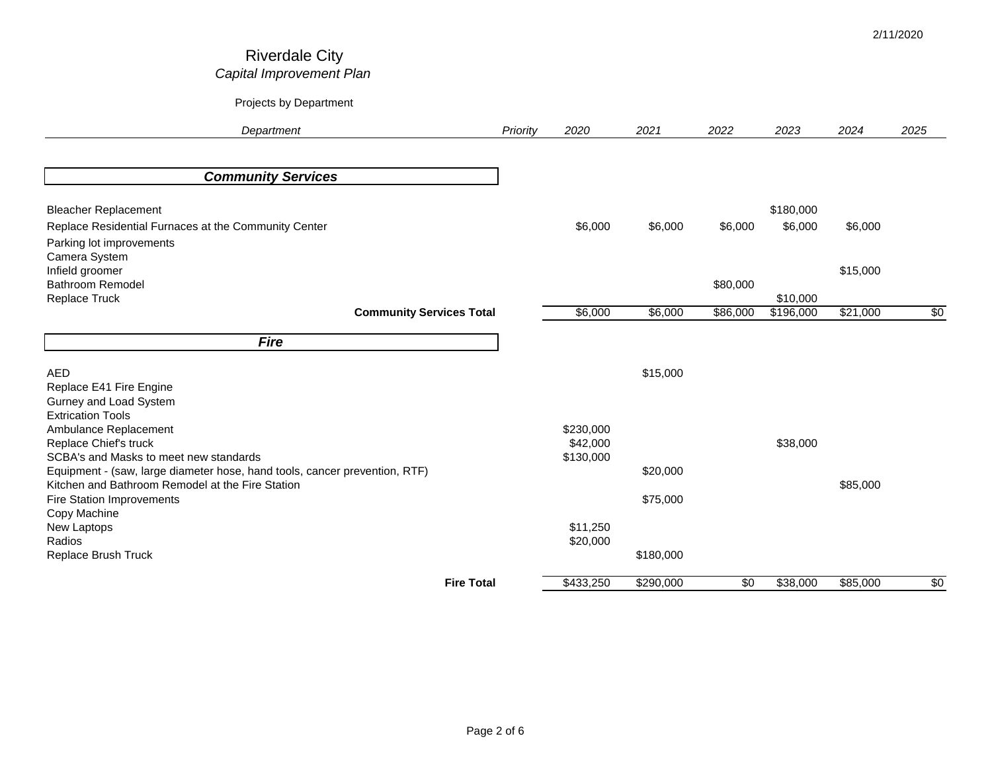| Department                                                                 |                                 | Priority | 2020      | 2021      | 2022     | 2023      | 2024     | 2025        |
|----------------------------------------------------------------------------|---------------------------------|----------|-----------|-----------|----------|-----------|----------|-------------|
|                                                                            |                                 |          |           |           |          |           |          |             |
| <b>Community Services</b>                                                  |                                 |          |           |           |          |           |          |             |
| <b>Bleacher Replacement</b>                                                |                                 |          |           |           |          | \$180,000 |          |             |
| Replace Residential Furnaces at the Community Center                       |                                 |          | \$6,000   | \$6,000   | \$6,000  | \$6,000   | \$6,000  |             |
| Parking lot improvements                                                   |                                 |          |           |           |          |           |          |             |
| Camera System                                                              |                                 |          |           |           |          |           |          |             |
| Infield groomer                                                            |                                 |          |           |           |          |           | \$15,000 |             |
| Bathroom Remodel<br>Replace Truck                                          |                                 |          |           |           | \$80,000 | \$10,000  |          |             |
|                                                                            | <b>Community Services Total</b> |          | \$6,000   | \$6,000   | \$86,000 | \$196,000 | \$21,000 | \$0         |
|                                                                            |                                 |          |           |           |          |           |          |             |
| <b>Fire</b>                                                                |                                 |          |           |           |          |           |          |             |
| <b>AED</b>                                                                 |                                 |          |           | \$15,000  |          |           |          |             |
| Replace E41 Fire Engine                                                    |                                 |          |           |           |          |           |          |             |
| Gurney and Load System                                                     |                                 |          |           |           |          |           |          |             |
| <b>Extrication Tools</b><br>Ambulance Replacement                          |                                 |          | \$230,000 |           |          |           |          |             |
| Replace Chief's truck                                                      |                                 |          | \$42,000  |           |          | \$38,000  |          |             |
| SCBA's and Masks to meet new standards                                     |                                 |          | \$130,000 |           |          |           |          |             |
| Equipment - (saw, large diameter hose, hand tools, cancer prevention, RTF) |                                 |          |           | \$20,000  |          |           |          |             |
| Kitchen and Bathroom Remodel at the Fire Station                           |                                 |          |           |           |          |           | \$85,000 |             |
| <b>Fire Station Improvements</b>                                           |                                 |          |           | \$75,000  |          |           |          |             |
| Copy Machine<br>New Laptops                                                |                                 |          | \$11,250  |           |          |           |          |             |
| Radios                                                                     |                                 |          | \$20,000  |           |          |           |          |             |
| Replace Brush Truck                                                        |                                 |          |           | \$180,000 |          |           |          |             |
|                                                                            |                                 |          |           |           |          |           |          |             |
|                                                                            | <b>Fire Total</b>               |          | \$433,250 | \$290,000 | \$0      | \$38,000  | \$85,000 | $\sqrt{50}$ |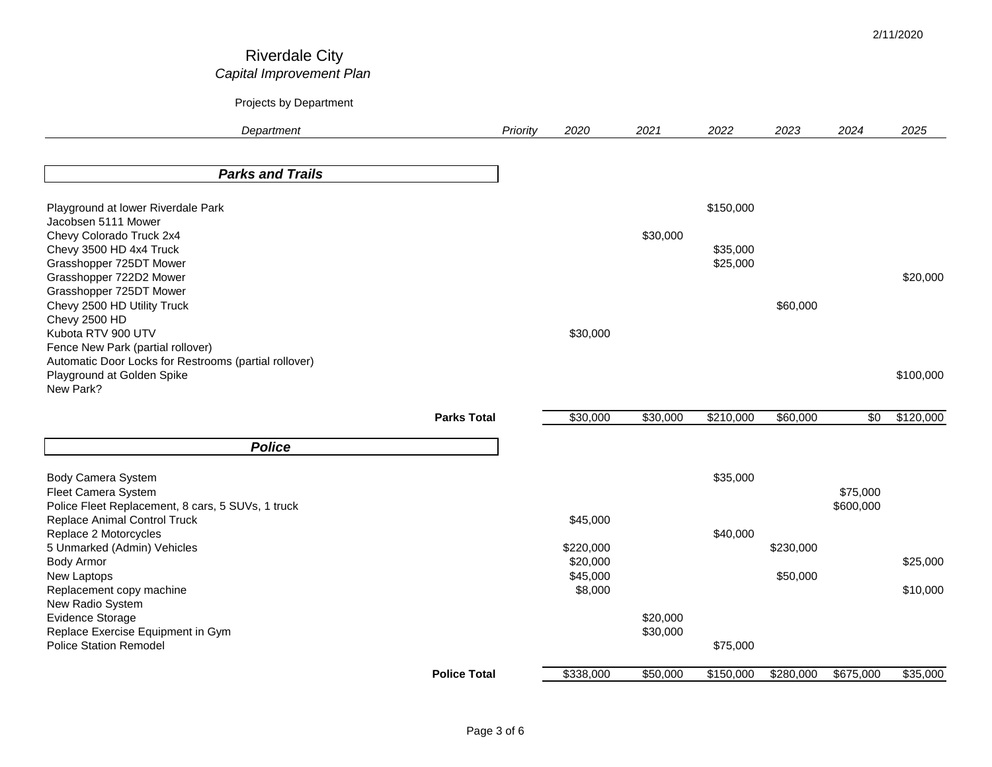# *Department Priority 2020 2021 2022 2023 2024 2025* Riverdale City *Capital Improvement Plan* Projects by Department

2/11/2020

| <b>Parks and Trails</b>                                |                     |           |          |           |           |            |           |
|--------------------------------------------------------|---------------------|-----------|----------|-----------|-----------|------------|-----------|
| Playground at lower Riverdale Park                     |                     |           |          | \$150,000 |           |            |           |
| Jacobsen 5111 Mower                                    |                     |           |          |           |           |            |           |
| Chevy Colorado Truck 2x4                               |                     |           | \$30,000 |           |           |            |           |
| Chevy 3500 HD 4x4 Truck                                |                     |           |          | \$35,000  |           |            |           |
| Grasshopper 725DT Mower                                |                     |           |          | \$25,000  |           |            |           |
| Grasshopper 722D2 Mower                                |                     |           |          |           |           |            | \$20,000  |
| Grasshopper 725DT Mower<br>Chevy 2500 HD Utility Truck |                     |           |          |           | \$60,000  |            |           |
| Chevy 2500 HD                                          |                     |           |          |           |           |            |           |
| Kubota RTV 900 UTV                                     |                     | \$30,000  |          |           |           |            |           |
| Fence New Park (partial rollover)                      |                     |           |          |           |           |            |           |
| Automatic Door Locks for Restrooms (partial rollover)  |                     |           |          |           |           |            |           |
| Playground at Golden Spike                             |                     |           |          |           |           |            | \$100,000 |
| New Park?                                              |                     |           |          |           |           |            |           |
|                                                        |                     |           |          |           |           |            |           |
|                                                        | <b>Parks Total</b>  | \$30,000  | \$30,000 | \$210,000 | \$60,000  | $\sqrt{6}$ | \$120,000 |
| <b>Police</b>                                          |                     |           |          |           |           |            |           |
|                                                        |                     |           |          | \$35,000  |           |            |           |
| Body Camera System<br>Fleet Camera System              |                     |           |          |           |           | \$75,000   |           |
| Police Fleet Replacement, 8 cars, 5 SUVs, 1 truck      |                     |           |          |           |           | \$600,000  |           |
| Replace Animal Control Truck                           |                     | \$45,000  |          |           |           |            |           |
| Replace 2 Motorcycles                                  |                     |           |          | \$40,000  |           |            |           |
| 5 Unmarked (Admin) Vehicles                            |                     | \$220,000 |          |           | \$230,000 |            |           |
| <b>Body Armor</b>                                      |                     | \$20,000  |          |           |           |            | \$25,000  |
| New Laptops                                            |                     | \$45,000  |          |           | \$50,000  |            |           |
| Replacement copy machine                               |                     | \$8,000   |          |           |           |            | \$10,000  |
| New Radio System                                       |                     |           |          |           |           |            |           |
| <b>Evidence Storage</b>                                |                     |           | \$20,000 |           |           |            |           |
| Replace Exercise Equipment in Gym                      |                     |           | \$30,000 |           |           |            |           |
| <b>Police Station Remodel</b>                          |                     |           |          | \$75,000  |           |            |           |
|                                                        | <b>Police Total</b> | \$338,000 | \$50,000 | \$150,000 | \$280,000 | \$675,000  | \$35,000  |
|                                                        |                     |           |          |           |           |            |           |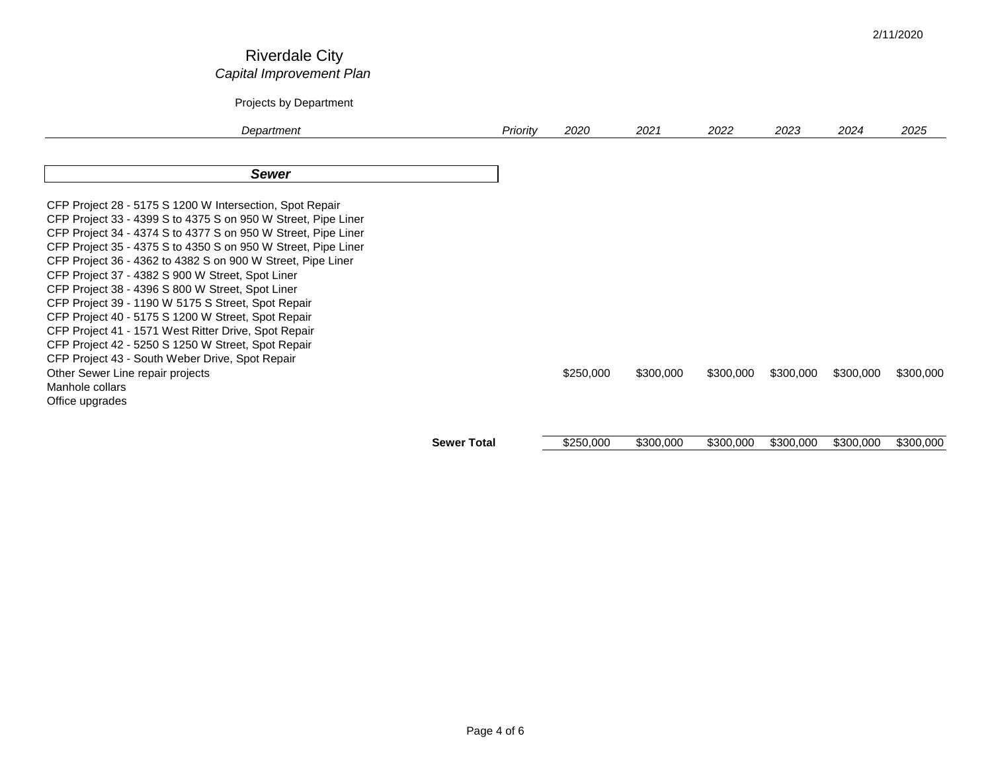|                                                                                                                                                                                                                                                                                                                                                                                                                                                                                                                                                                                                                                                                                                                                                                                           |                    |          |           |           |           |           |           | 2/11/2020 |
|-------------------------------------------------------------------------------------------------------------------------------------------------------------------------------------------------------------------------------------------------------------------------------------------------------------------------------------------------------------------------------------------------------------------------------------------------------------------------------------------------------------------------------------------------------------------------------------------------------------------------------------------------------------------------------------------------------------------------------------------------------------------------------------------|--------------------|----------|-----------|-----------|-----------|-----------|-----------|-----------|
| <b>Riverdale City</b><br>Capital Improvement Plan                                                                                                                                                                                                                                                                                                                                                                                                                                                                                                                                                                                                                                                                                                                                         |                    |          |           |           |           |           |           |           |
| Projects by Department                                                                                                                                                                                                                                                                                                                                                                                                                                                                                                                                                                                                                                                                                                                                                                    |                    |          |           |           |           |           |           |           |
| Department                                                                                                                                                                                                                                                                                                                                                                                                                                                                                                                                                                                                                                                                                                                                                                                |                    | Priority | 2020      | 2021      | 2022      | 2023      | 2024      | 2025      |
| <b>Sewer</b>                                                                                                                                                                                                                                                                                                                                                                                                                                                                                                                                                                                                                                                                                                                                                                              |                    |          |           |           |           |           |           |           |
| CFP Project 28 - 5175 S 1200 W Intersection, Spot Repair<br>CFP Project 33 - 4399 S to 4375 S on 950 W Street, Pipe Liner<br>CFP Project 34 - 4374 S to 4377 S on 950 W Street, Pipe Liner<br>CFP Project 35 - 4375 S to 4350 S on 950 W Street, Pipe Liner<br>CFP Project 36 - 4362 to 4382 S on 900 W Street, Pipe Liner<br>CFP Project 37 - 4382 S 900 W Street, Spot Liner<br>CFP Project 38 - 4396 S 800 W Street, Spot Liner<br>CFP Project 39 - 1190 W 5175 S Street, Spot Repair<br>CFP Project 40 - 5175 S 1200 W Street, Spot Repair<br>CFP Project 41 - 1571 West Ritter Drive, Spot Repair<br>CFP Project 42 - 5250 S 1250 W Street, Spot Repair<br>CFP Project 43 - South Weber Drive, Spot Repair<br>Other Sewer Line repair projects<br>Manhole collars<br>Office upgrades |                    |          | \$250,000 | \$300,000 | \$300,000 | \$300,000 | \$300,000 | \$300,000 |
|                                                                                                                                                                                                                                                                                                                                                                                                                                                                                                                                                                                                                                                                                                                                                                                           | <b>Sewer Total</b> |          | \$250,000 | \$300,000 | \$300,000 | \$300,000 | \$300,000 | \$300,000 |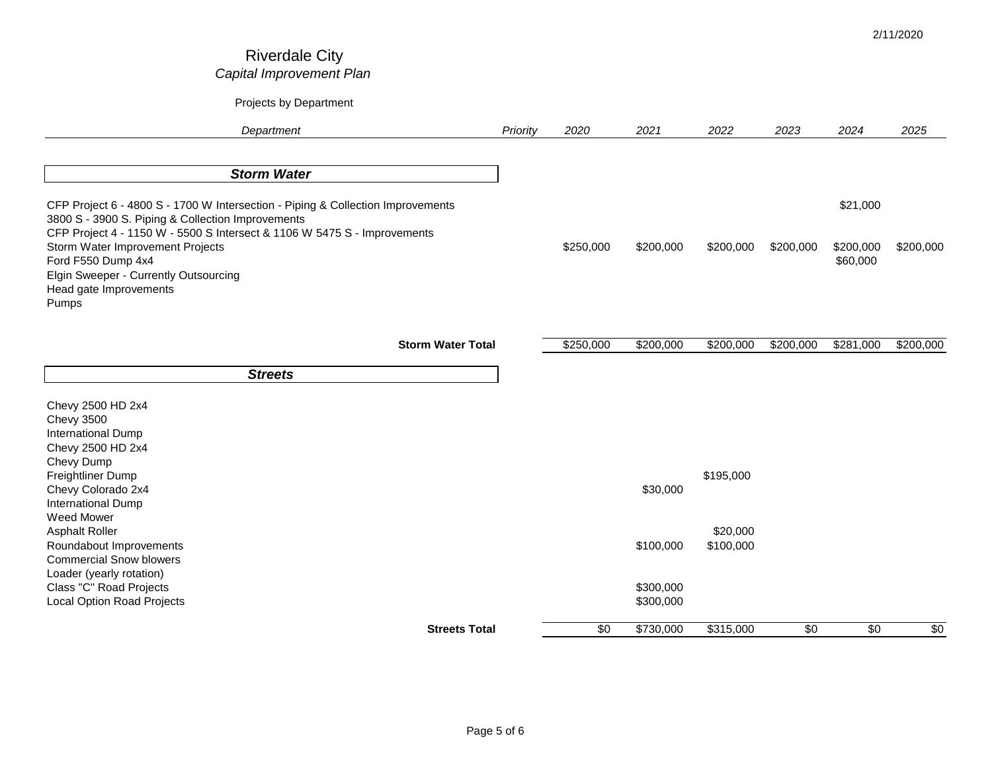| Department                                                                                                                                                                                                                                                                                                                                             | Priority | 2020            | 2021                                | 2022                  | 2023       | 2024                              | 2025       |
|--------------------------------------------------------------------------------------------------------------------------------------------------------------------------------------------------------------------------------------------------------------------------------------------------------------------------------------------------------|----------|-----------------|-------------------------------------|-----------------------|------------|-----------------------------------|------------|
| <b>Storm Water</b>                                                                                                                                                                                                                                                                                                                                     |          |                 |                                     |                       |            |                                   |            |
| CFP Project 6 - 4800 S - 1700 W Intersection - Piping & Collection Improvements<br>3800 S - 3900 S. Piping & Collection Improvements<br>CFP Project 4 - 1150 W - 5500 S Intersect & 1106 W 5475 S - Improvements<br>Storm Water Improvement Projects<br>Ford F550 Dump 4x4<br>Elgin Sweeper - Currently Outsourcing<br>Head gate Improvements<br>Pumps |          | \$250,000       | \$200,000                           | \$200,000             | \$200,000  | \$21,000<br>\$200,000<br>\$60,000 | \$200,000  |
| <b>Storm Water Total</b>                                                                                                                                                                                                                                                                                                                               |          | \$250,000       | \$200,000                           | \$200,000             | \$200,000  | \$281,000                         | \$200,000  |
| <b>Streets</b>                                                                                                                                                                                                                                                                                                                                         |          |                 |                                     |                       |            |                                   |            |
| Chevy 2500 HD 2x4<br><b>Chevy 3500</b><br>International Dump<br>Chevy 2500 HD 2x4<br>Chevy Dump<br>Freightliner Dump<br>Chevy Colorado 2x4                                                                                                                                                                                                             |          |                 | \$30,000                            | \$195,000             |            |                                   |            |
| <b>International Dump</b><br>Weed Mower<br><b>Asphalt Roller</b><br>Roundabout Improvements<br><b>Commercial Snow blowers</b><br>Loader (yearly rotation)<br>Class "C" Road Projects<br><b>Local Option Road Projects</b>                                                                                                                              |          |                 | \$100,000<br>\$300,000<br>\$300,000 | \$20,000<br>\$100,000 |            |                                   |            |
| <b>Streets Total</b>                                                                                                                                                                                                                                                                                                                                   |          | $\overline{30}$ | \$730,000                           | \$315,000             | $\sqrt{6}$ | $\overline{50}$                   | $\sqrt{6}$ |